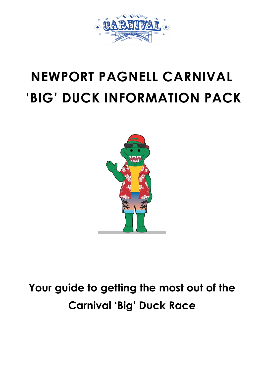

# **NEWPORT PAGNELL CARNIVAL 'BIG' DUCK INFORMATION PACK**



### **Your guide to getting the most out of the Carnival 'Big' Duck Race**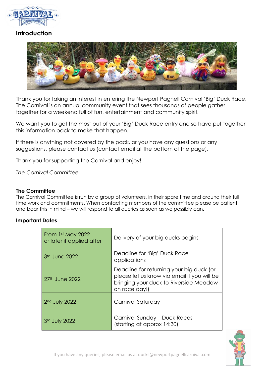

#### **Introduction**



Thank you for taking an interest in entering the Newport Pagnell Carnival 'Big' Duck Race. The Carnival is an annual community event that sees thousands of people gather together for a weekend full of fun, entertainment and community spirit.

We want you to get the most out of your 'Big' Duck Race entry and so have put together this information pack to make that happen.

If there is anything not covered by the pack, or you have any questions or any suggestions, please contact us (contact email at the bottom of the page).

Thank you for supporting the Carnival and enjoy!

*The Carnival Committee*

#### **The Committee**

The Carnival Committee is run by a group of volunteers, in their spare time and around their full time work and commitments. When contacting members of the committee please be patient and bear this in mind – we will respond to all queries as soon as we possibly can.

#### **Important Dates**

| From 1st May 2022<br>or later if applied after | Delivery of your big ducks begins                                                                                                                  |
|------------------------------------------------|----------------------------------------------------------------------------------------------------------------------------------------------------|
| 3rd June 2022                                  | Deadline for 'Big' Duck Race<br>applications                                                                                                       |
| 27 <sup>th</sup> June 2022                     | Deadline for returning your big duck (or<br>please let us know via email if you will be<br>bringing your duck to Riverside Meadow<br>on race day!) |
| $2nd$ July 2022                                | Carnival Saturday                                                                                                                                  |
| 3rd July 2022                                  | Carnival Sunday - Duck Races<br>(starting at approx 14:30)                                                                                         |

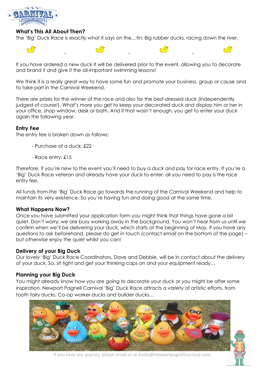

#### **What's This All About Then?**

The 'Big' Duck Race is exactly what it says on the…tin: Big rubber ducks, racing down the river.



If you have ordered a new duck it will be delivered prior to the event, allowing you to decorate and brand it and give it the all-important swimming lessons!

We think it is a really great way to have some fun and promote your business, group or cause and to take part in the Carnival Weekend.

There are prizes for the winner of the race and also for the best-dressed duck (independently judged of course!). What's more you get to keep your decorated duck and display him or her in your office, shop window, desk or bath. And if that wasn't enough, you get to enter your duck again the following year.

#### **Entry Fee**

The entry fee is broken down as follows:

- Purchase of a duck: £22
- Race entry: £15

Therefore, if you're new to the event you'll need to buy a duck and pay for race entry. If you're a 'Big' Duck Race veteran and already have your duck to enter, all you need to pay is the race entry fee.

All funds from the 'Big' Duck Race go towards the running of the Carnival Weekend and help to maintain its very existence. So you're having fun and doing good at the same time.

#### **What Happens Now?**

Once you have submitted your application form you might think that things have gone a bit quiet. Don't worry; we are busy working away in the background. You won't hear from us until we confirm when we'll be delivering your duck, which starts at the beginning of May. If you have any questions to ask beforehand, please do get in touch (contact email on the bottom of the page) – but otherwise enjoy the quiet whilst you can!

#### **Delivery of your Big Duck**

Our lovely 'Big' Duck Race Coordinators, Dave and Debbie, will be in contact about the delivery of your duck. So, sit tight and get your thinking caps on and your equipment ready…

#### **Planning your Big Duck**

You might already know how you are going to decorate your duck or you might be after some inspiration. Newport Pagnell Carnival 'Big' Duck Race attracts a variety of artistic efforts, from tooth fairy ducks, Co-op worker ducks and builder ducks…



If you have any queries, please email us at ducks@newportpagnellcarnival.com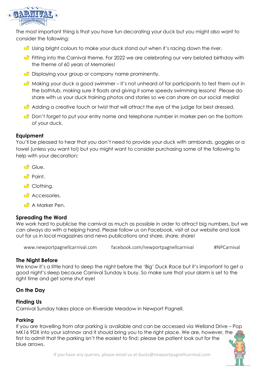

The most important thing is that you have fun decorating your duck but you might also want to consider the following:

- $\bigcirc$  Using bright colours to make your duck stand out when it's racing down the river.
- Fitting into the Carnival theme. For 2022 we are celebrating our very belated birthday with the theme of 60 years of Memories!
- $\bullet$  Displaying your group or company name prominently.
- $\bigcirc$  Making your duck a good swimmer it's not unheard of for participants to test them out in the bathtub, making sure it floats and giving it some speedy swimming lessons! Please do share with us your duck training photos and stories so we can share on our social media!
- Adding a creative touch or twist that will attract the eye of the judge for best dressed.
- $\bullet$  Don't forget to put your entry name and telephone number in marker pen on the bottom of your duck.

#### **Equipment**

You'll be pleased to hear that you don't need to provide your duck with armbands, goggles or a towel (unless you want to!) but you might want to consider purchasing some of the following to help with your decoration:

- Glue.
- $\bigcirc$  Paint.
- **Clothing.**
- **Accessories.**
- **A** Marker Pen.

#### **Spreading the Word**

We work hard to publicise the carnival as much as possible in order to attract big numbers, but we can always do with a helping hand. Please follow us on Facebook, visit at our website and look out for us in local magazines and news publications and share, share, share!

www.newportpagnellcarnival.com facebook.com/newportpagnellcarnival #NPCarnival

#### **The Night Before**

We know it's a little hard to sleep the night before the 'Big' Duck Race but it's important to get a good night's sleep because Carnival Sunday is busy. So make sure that your alarm is set to the right time and get some shut eye!

#### **On the Day**

#### **Finding Us**

Carnival Sunday takes place on Riverside Meadow in Newport Pagnell.

#### **Parking**

If you are travelling from afar parking is available and can be accessed via Welland Drive – Pop MK16 9DX into your satnnav and it should bring you to the right place. We are, however, the first to admit that the parking isn't the easiest to find; please be patient look out for the blue arrows.